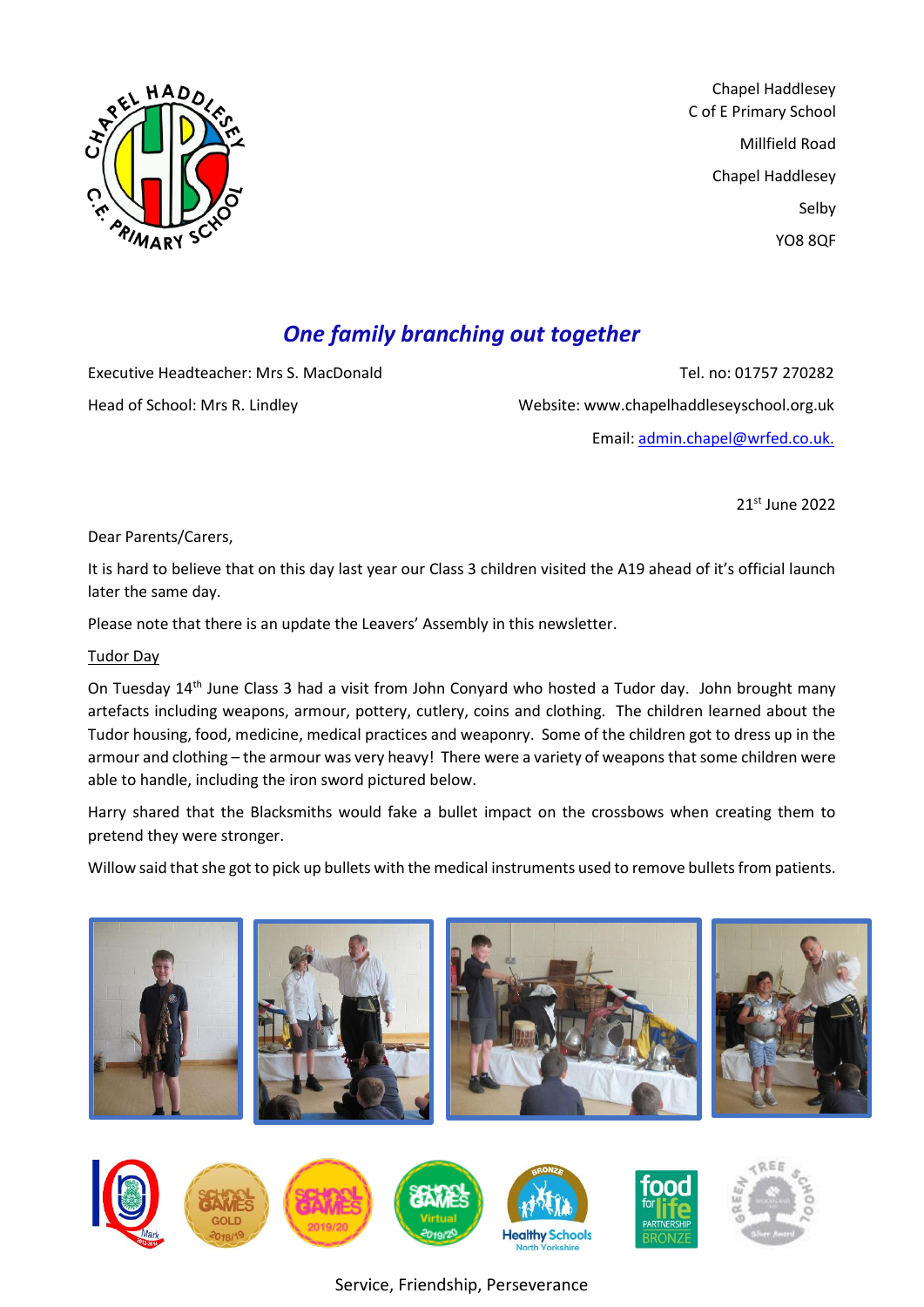

Chapel Haddlesey C of E Primary School Millfield Road Chapel Haddlesey Selby YO8 8QF

# *One family branching out together*

Executive Headteacher: Mrs S. MacDonald Tel. no: 01757 270282 Head of School: Mrs R. Lindley Website: www.chapelhaddleseyschool.org.uk Email: [admin.chapel@wrfed.co.uk.](mailto:admin.chapel@wrfed.co.uk)

21st June 2022

Dear Parents/Carers,

It is hard to believe that on this day last year our Class 3 children visited the A19 ahead of it's official launch later the same day.

Please note that there is an update the Leavers' Assembly in this newsletter.

#### Tudor Day

On Tuesday 14<sup>th</sup> June Class 3 had a visit from John Conyard who hosted a Tudor day. John brought many artefacts including weapons, armour, pottery, cutlery, coins and clothing. The children learned about the Tudor housing, food, medicine, medical practices and weaponry. Some of the children got to dress up in the armour and clothing – the armour was very heavy! There were a variety of weapons that some children were able to handle, including the iron sword pictured below.

Harry shared that the Blacksmiths would fake a bullet impact on the crossbows when creating them to pretend they were stronger.

Willow said that she got to pick up bullets with the medical instruments used to remove bullets from patients.



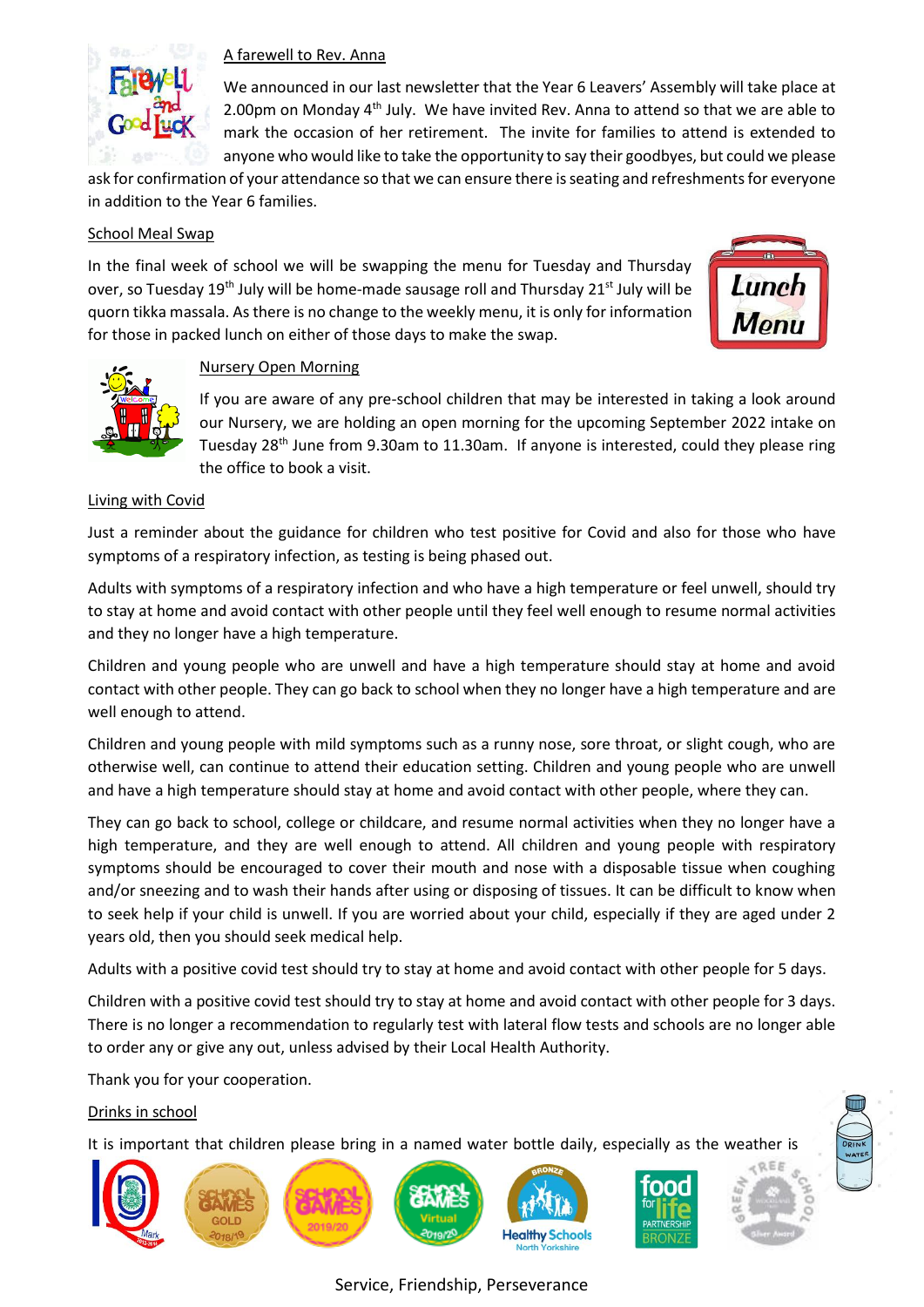

## A farewell to Rev. Anna

We announced in our last newsletter that the Year 6 Leavers' Assembly will take place at 2.00pm on Monday 4<sup>th</sup> July. We have invited Rev. Anna to attend so that we are able to mark the occasion of her retirement. The invite for families to attend is extended to anyone who would like to take the opportunity to say their goodbyes, but could we please

ask for confirmation of your attendance so that we can ensure there is seating and refreshments for everyone in addition to the Year 6 families.

#### School Meal Swap

In the final week of school we will be swapping the menu for Tuesday and Thursday over, so Tuesday 19<sup>th</sup> July will be home-made sausage roll and Thursday 21<sup>st</sup> July will be quorn tikka massala. As there is no change to the weekly menu, it is only for information for those in packed lunch on either of those days to make the swap.





## Nursery Open Morning

If you are aware of any pre-school children that may be interested in taking a look around our Nursery, we are holding an open morning for the upcoming September 2022 intake on Tuesday 28<sup>th</sup> June from 9.30am to 11.30am. If anyone is interested, could they please ring the office to book a visit.

#### Living with Covid

Just a reminder about the guidance for children who test positive for Covid and also for those who have symptoms of a respiratory infection, as testing is being phased out.

Adults with symptoms of a respiratory infection and who have a high temperature or feel unwell, should try to stay at home and avoid contact with other people until they feel well enough to resume normal activities and they no longer have a high temperature.

Children and young people who are unwell and have a high temperature should stay at home and avoid contact with other people. They can go back to school when they no longer have a high temperature and are well enough to attend.

Children and young people with mild symptoms such as a runny nose, sore throat, or slight cough, who are otherwise well, can continue to attend their education setting. Children and young people who are unwell and have a high temperature should stay at home and avoid contact with other people, where they can.

They can go back to school, college or childcare, and resume normal activities when they no longer have a high temperature, and they are well enough to attend. All children and young people with respiratory symptoms should be encouraged to cover their mouth and nose with a disposable tissue when coughing and/or sneezing and to wash their hands after using or disposing of tissues. It can be difficult to know when to seek help if your child is unwell. If you are worried about your child, especially if they are aged under 2 years old, then you should seek medical help.

Adults with a positive covid test should try to stay at home and avoid contact with other people for 5 days.

Children with a positive covid test should try to stay at home and avoid contact with other people for 3 days. There is no longer a recommendation to regularly test with lateral flow tests and schools are no longer able to order any or give any out, unless advised by their Local Health Authority.

Thank you for your cooperation.

## Drinks in school

It is important that children please bring in a named water bottle daily, especially as the weather is

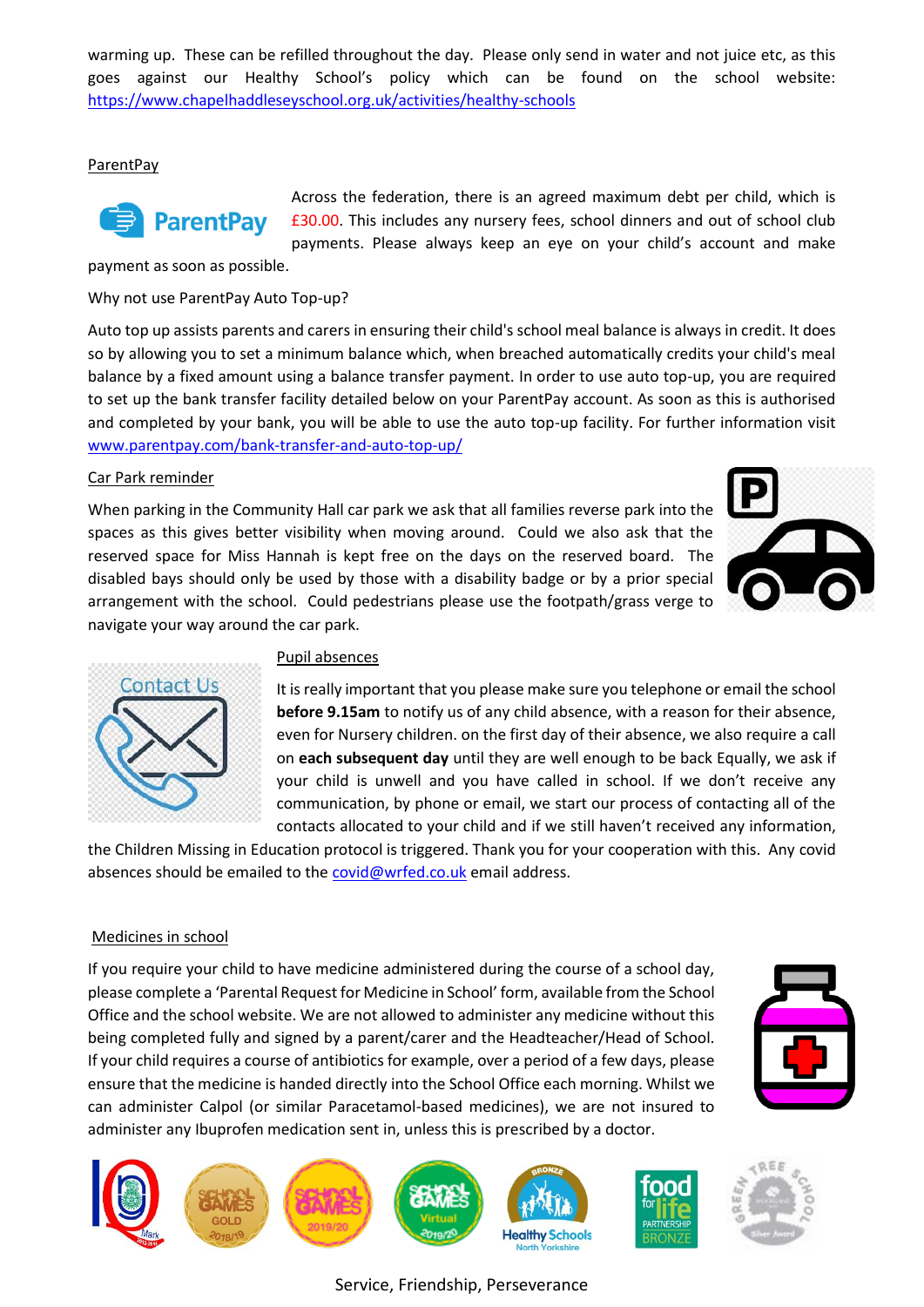warming up. These can be refilled throughout the day. Please only send in water and not juice etc, as this goes against our Healthy School's policy which can be found on the school website: <https://www.chapelhaddleseyschool.org.uk/activities/healthy-schools>

#### ParentPay



Across the federation, there is an agreed maximum debt per child, which is £30.00. This includes any nursery fees, school dinners and out of school club payments. Please always keep an eye on your child's account and make

payment as soon as possible.

Why not use ParentPay Auto Top-up?

Auto top up assists parents and carers in ensuring their child's school meal balance is always in credit. It does so by allowing you to set a minimum balance which, when breached automatically credits your child's meal balance by a fixed amount using a balance transfer payment. In order to use auto top-up, you are required to set up the bank transfer facility detailed below on your ParentPay account. As soon as this is authorised and completed by your bank, you will be able to use the auto top-up facility. For further information visit [www.parentpay.com/bank-transfer-and-auto-top-up/](http://www.parentpay.com/bank-transfer-and-auto-top-up/)

#### Car Park reminder

When parking in the Community Hall car park we ask that all families reverse park into the spaces as this gives better visibility when moving around. Could we also ask that the reserved space for Miss Hannah is kept free on the days on the reserved board. The disabled bays should only be used by those with a disability badge or by a prior special arrangement with the school. Could pedestrians please use the footpath/grass verge to navigate your way around the car park.





#### Pupil absences

It is really important that you please make sure you telephone or email the school **before 9.15am** to notify us of any child absence, with a reason for their absence, even for Nursery children. on the first day of their absence, we also require a call on **each subsequent day** until they are well enough to be back Equally, we ask if your child is unwell and you have called in school. If we don't receive any communication, by phone or email, we start our process of contacting all of the contacts allocated to your child and if we still haven't received any information,

the Children Missing in Education protocol is triggered. Thank you for your cooperation with this. Any covid absences should be emailed to the [covid@wrfed.co.uk](mailto:covid@wrfed.co.uk) email address.

## Medicines in school

If you require your child to have medicine administered during the course of a school day, please complete a 'Parental Request for Medicine in School' form, available from the School Office and the school website. We are not allowed to administer any medicine without this being completed fully and signed by a parent/carer and the Headteacher/Head of School. If your child requires a course of antibiotics for example, over a period of a few days, please ensure that the medicine is handed directly into the School Office each morning. Whilst we can administer Calpol (or similar Paracetamol-based medicines), we are not insured to administer any Ibuprofen medication sent in, unless this is prescribed by a doctor.



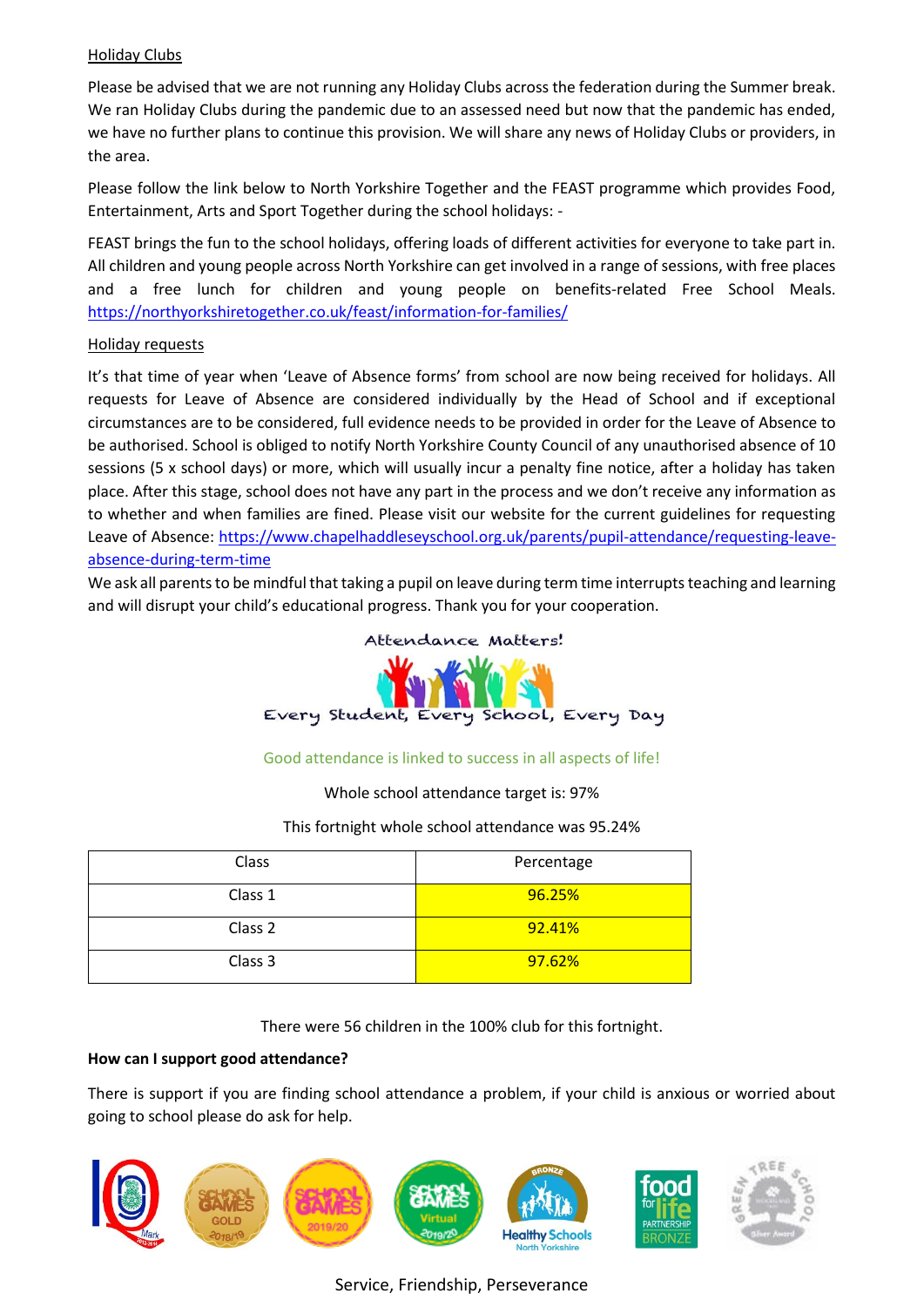## Holiday Clubs

Please be advised that we are not running any Holiday Clubs across the federation during the Summer break. We ran Holiday Clubs during the pandemic due to an assessed need but now that the pandemic has ended, we have no further plans to continue this provision. We will share any news of Holiday Clubs or providers, in the area.

Please follow the link below to North Yorkshire Together and the FEAST programme which provides Food, Entertainment, Arts and Sport Together during the school holidays: -

FEAST brings the fun to the school holidays, offering loads of different activities for everyone to take part in. All children and young people across North Yorkshire can get involved in a range of sessions, with free places and a free lunch for children and young people on benefits-related Free School Meals. <https://northyorkshiretogether.co.uk/feast/information-for-families/>

## Holiday requests

It's that time of year when 'Leave of Absence forms' from school are now being received for holidays. All requests for Leave of Absence are considered individually by the Head of School and if exceptional circumstances are to be considered, full evidence needs to be provided in order for the Leave of Absence to be authorised. School is obliged to notify North Yorkshire County Council of any unauthorised absence of 10 sessions (5 x school days) or more, which will usually incur a penalty fine notice, after a holiday has taken place. After this stage, school does not have any part in the process and we don't receive any information as to whether and when families are fined. Please visit our website for the current guidelines for requesting Leave of Absence: [https://www.chapelhaddleseyschool.org.uk/parents/pupil-attendance/requesting-leave](https://www.chapelhaddleseyschool.org.uk/parents/pupil-attendance/requesting-leave-absence-during-term-time)[absence-during-term-time](https://www.chapelhaddleseyschool.org.uk/parents/pupil-attendance/requesting-leave-absence-during-term-time)

We ask all parents to be mindful that taking a pupil on leave during term time interrupts teaching and learning and will disrupt your child's educational progress. Thank you for your cooperation.



## Good attendance is linked to success in all aspects of life!

Whole school attendance target is: 97%

## This fortnight whole school attendance was 95.24%

| Class   | Percentage |
|---------|------------|
| Class 1 | 96.25%     |
| Class 2 | 92.41%     |
| Class 3 | 97.62%     |

There were 56 children in the 100% club for this fortnight.

## **How can I support good attendance?**

There is support if you are finding school attendance a problem, if your child is anxious or worried about going to school please do ask for help.

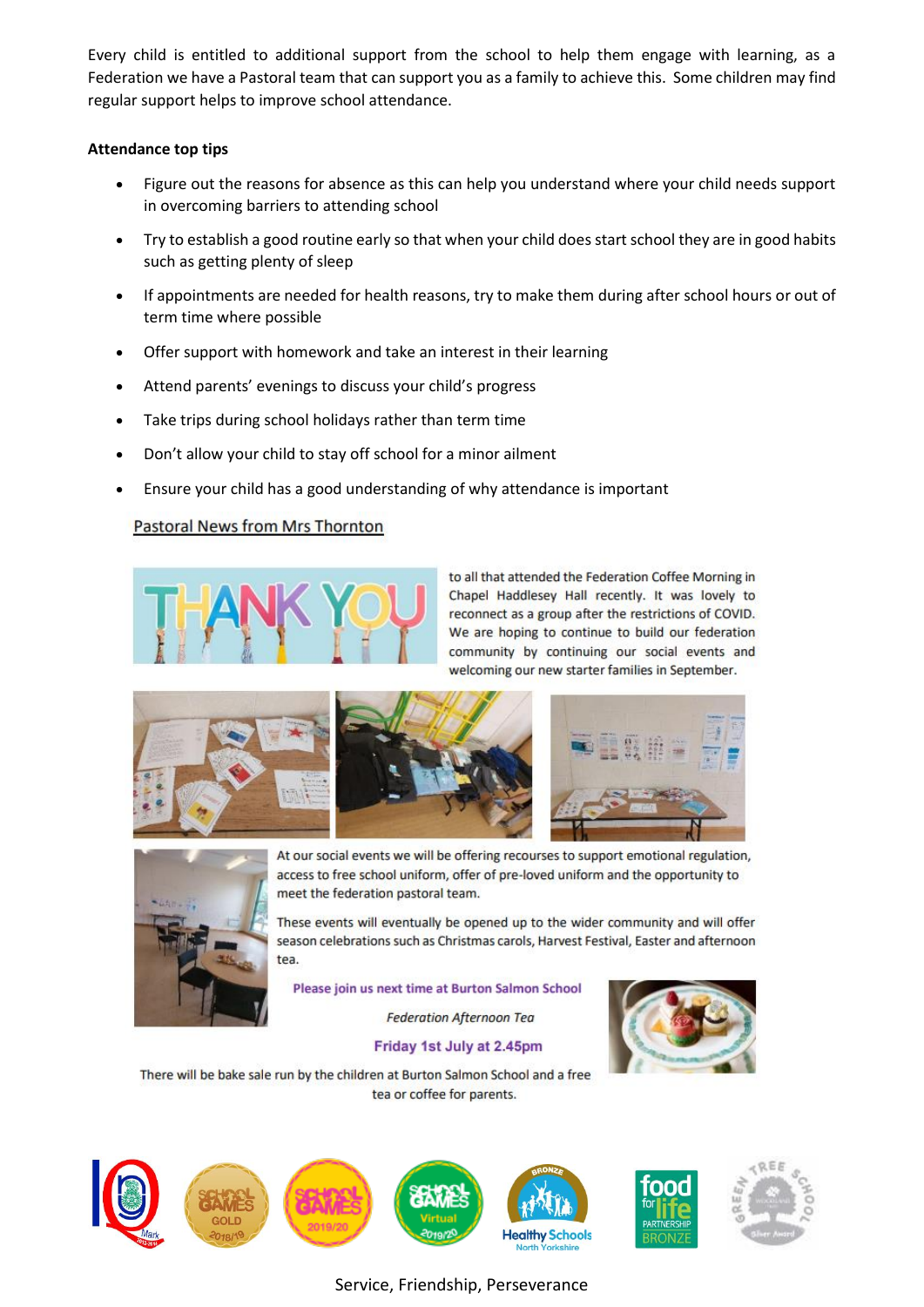Every child is entitled to additional support from the school to help them engage with learning, as a Federation we have a Pastoral team that can support you as a family to achieve this. Some children may find regular support helps to improve school attendance.

#### **Attendance top tips**

- Figure out the reasons for absence as this can help you understand where your child needs support in overcoming barriers to attending school
- Try to establish a good routine early so that when your child does start school they are in good habits such as getting plenty of sleep
- If appointments are needed for health reasons, try to make them during after school hours or out of term time where possible
- Offer support with homework and take an interest in their learning
- Attend parents' evenings to discuss your child's progress
- Take trips during school holidays rather than term time
- Don't allow your child to stay off school for a minor ailment
- Ensure your child has a good understanding of why attendance is important

## Pastoral News from Mrs Thornton



to all that attended the Federation Coffee Morning in Chapel Haddlesey Hall recently. It was lovely to reconnect as a group after the restrictions of COVID. We are hoping to continue to build our federation community by continuing our social events and welcoming our new starter families in September.





At our social events we will be offering recourses to support emotional regulation, access to free school uniform, offer of pre-loved uniform and the opportunity to meet the federation pastoral team.

These events will eventually be opened up to the wider community and will offer season celebrations such as Christmas carols, Harvest Festival, Easter and afternoon tea.

Please join us next time at Burton Salmon School

**Federation Afternoon Tea** 

#### Friday 1st July at 2.45pm



There will be bake sale run by the children at Burton Salmon School and a free tea or coffee for parents.

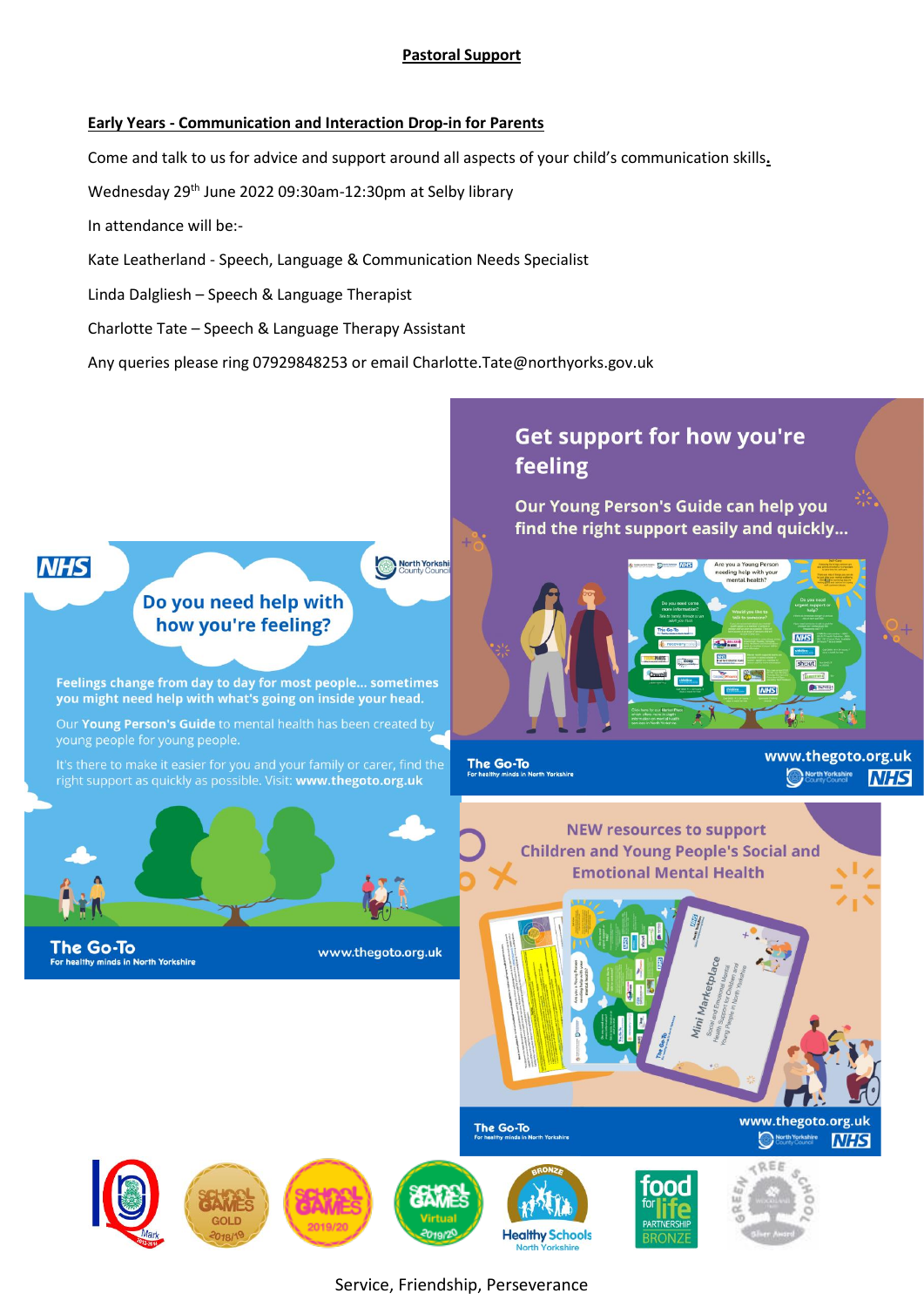#### **Pastoral Support**

#### **Early Years - Communication and Interaction Drop-in for Parents**

Come and talk to us for advice and support around all aspects of your child's communication skills**.** 

Wednesday 29th June 2022 09:30am-12:30pm at Selby library

In attendance will be:-

Kate Leatherland - Speech, Language & Communication Needs Specialist

Linda Dalgliesh – Speech & Language Therapist

Charlotte Tate – Speech & Language Therapy Assistant

Any queries please ring 07929848253 or email Charlotte.Tate@northyorks.gov.uk